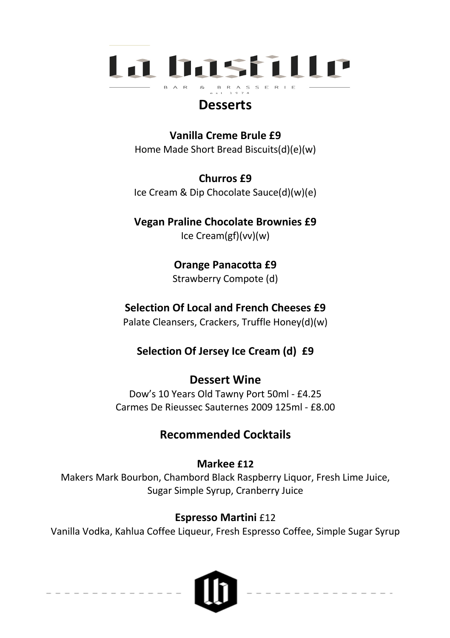

# **Desserts**

**Vanilla Creme Brule £9** Home Made Short Bread Biscuits(d)(e)(w)

**Churros £9** Ice Cream & Dip Chocolate Sauce(d)(w)(e)

**Vegan Praline Chocolate Brownies £9** Ice Cream(gf)(vv)(w)

> **Orange Panacotta £9** Strawberry Compote (d)

## **Selection Of Local and French Cheeses £9**

Palate Cleansers, Crackers, Truffle Honey(d)(w)

**Selection Of Jersey Ice Cream (d) £9**

# **Dessert Wine**

Dow's 10 Years Old Tawny Port 50ml - £4.25 Carmes De Rieussec Sauternes 2009 125ml - £8.00

# **Recommended Cocktails**

## **Markee £12**

Makers Mark Bourbon, Chambord Black Raspberry Liquor, Fresh Lime Juice, Sugar Simple Syrup, Cranberry Juice

## **Espresso Martini** £12

Vanilla Vodka, Kahlua Coffee Liqueur, Fresh Espresso Coffee, Simple Sugar Syrup